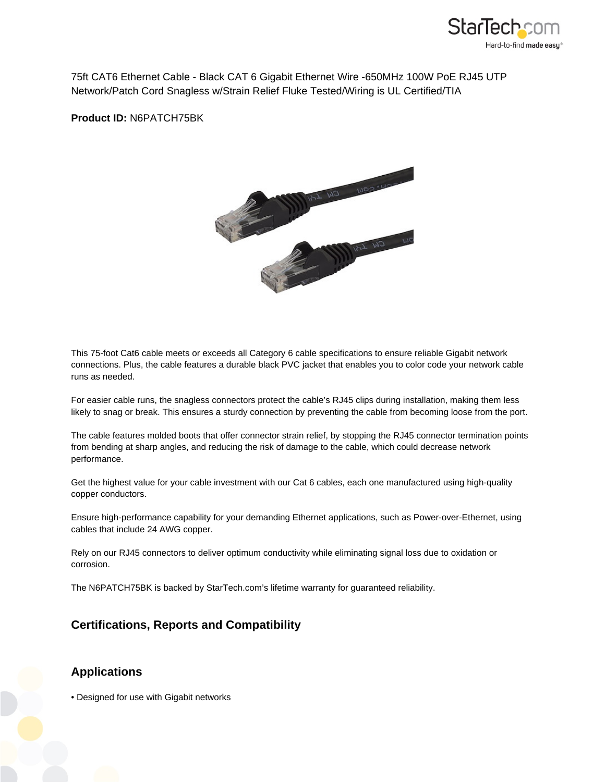

75ft CAT6 Ethernet Cable - Black CAT 6 Gigabit Ethernet Wire -650MHz 100W PoE RJ45 UTP Network/Patch Cord Snagless w/Strain Relief Fluke Tested/Wiring is UL Certified/TIA

**Product ID:** N6PATCH75BK



This 75-foot Cat6 cable meets or exceeds all Category 6 cable specifications to ensure reliable Gigabit network connections. Plus, the cable features a durable black PVC jacket that enables you to color code your network cable runs as needed.

For easier cable runs, the snagless connectors protect the cable's RJ45 clips during installation, making them less likely to snag or break. This ensures a sturdy connection by preventing the cable from becoming loose from the port.

The cable features molded boots that offer connector strain relief, by stopping the RJ45 connector termination points from bending at sharp angles, and reducing the risk of damage to the cable, which could decrease network performance.

Get the highest value for your cable investment with our Cat 6 cables, each one manufactured using high-quality copper conductors.

Ensure high-performance capability for your demanding Ethernet applications, such as Power-over-Ethernet, using cables that include 24 AWG copper.

Rely on our RJ45 connectors to deliver optimum conductivity while eliminating signal loss due to oxidation or corrosion.

The N6PATCH75BK is backed by StarTech.com's lifetime warranty for guaranteed reliability.

## **Certifications, Reports and Compatibility**

## **Applications**

• Designed for use with Gigabit networks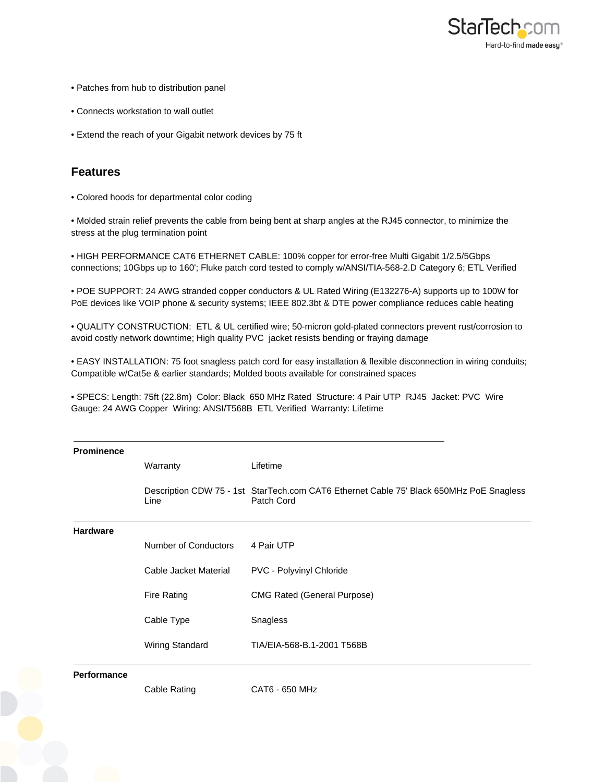

- Patches from hub to distribution panel
- Connects workstation to wall outlet
- Extend the reach of your Gigabit network devices by 75 ft

## **Features**

• Colored hoods for departmental color coding

• Molded strain relief prevents the cable from being bent at sharp angles at the RJ45 connector, to minimize the stress at the plug termination point

• HIGH PERFORMANCE CAT6 ETHERNET CABLE: 100% copper for error-free Multi Gigabit 1/2.5/5Gbps connections; 10Gbps up to 160'; Fluke patch cord tested to comply w/ANSI/TIA-568-2.D Category 6; ETL Verified

• POE SUPPORT: 24 AWG stranded copper conductors & UL Rated Wiring (E132276-A) supports up to 100W for PoE devices like VOIP phone & security systems; IEEE 802.3bt & DTE power compliance reduces cable heating

• QUALITY CONSTRUCTION: ETL & UL certified wire; 50-micron gold-plated connectors prevent rust/corrosion to avoid costly network downtime; High quality PVC jacket resists bending or fraying damage

• EASY INSTALLATION: 75 foot snagless patch cord for easy installation & flexible disconnection in wiring conduits; Compatible w/Cat5e & earlier standards; Molded boots available for constrained spaces

• SPECS: Length: 75ft (22.8m) Color: Black 650 MHz Rated Structure: 4 Pair UTP RJ45 Jacket: PVC Wire Gauge: 24 AWG Copper Wiring: ANSI/T568B ETL Verified Warranty: Lifetime

| <b>Prominence</b>  |                       |                                                                                                       |
|--------------------|-----------------------|-------------------------------------------------------------------------------------------------------|
|                    | Warranty              | Lifetime                                                                                              |
|                    | Line                  | Description CDW 75 - 1st StarTech.com CAT6 Ethernet Cable 75' Black 650MHz PoE Snagless<br>Patch Cord |
| <b>Hardware</b>    |                       |                                                                                                       |
|                    | Number of Conductors  | 4 Pair UTP                                                                                            |
|                    | Cable Jacket Material | PVC - Polyvinyl Chloride                                                                              |
|                    | <b>Fire Rating</b>    | <b>CMG Rated (General Purpose)</b>                                                                    |
|                    | Cable Type            | Snagless                                                                                              |
|                    | Wiring Standard       | TIA/EIA-568-B.1-2001 T568B                                                                            |
| <b>Performance</b> |                       |                                                                                                       |
|                    | Cable Rating          | CAT6 - 650 MHz                                                                                        |